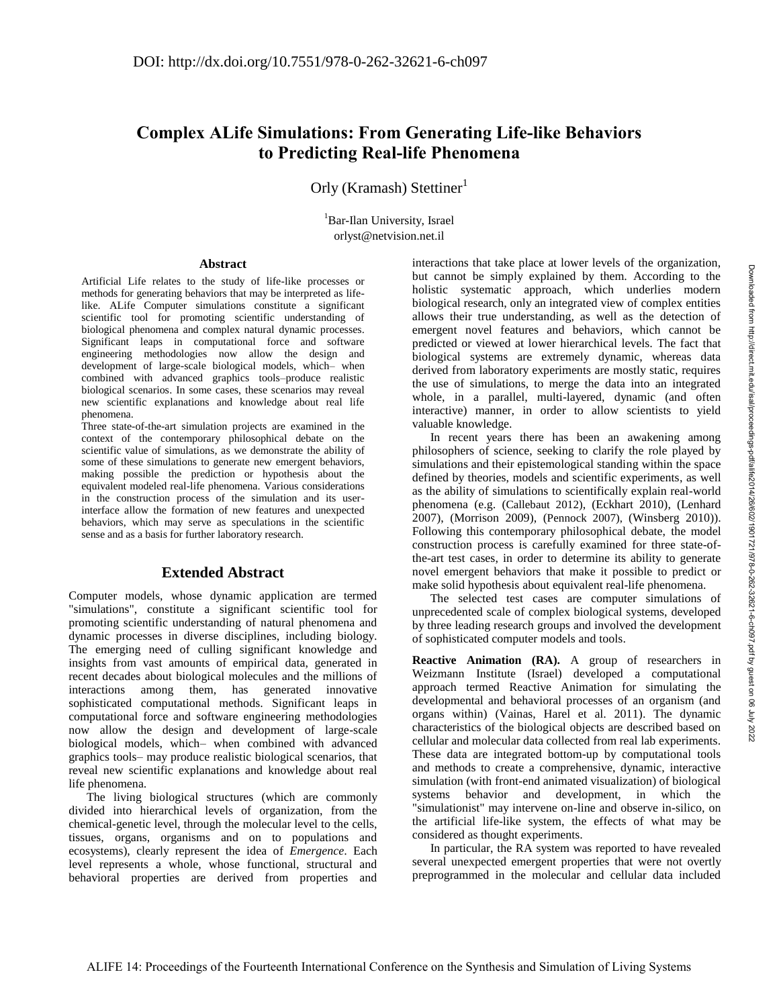## **Complex ALife Simulations: From Generating Life-like Behaviors to Predicting Real-life Phenomena**

Orly (Kramash) Stettiner

<sup>1</sup>Bar-Ilan University, Israel orlyst@netvision.net.il

## **Abstract**

Artificial Life relates to the study of life-like processes or methods for generating behaviors that may be interpreted as lifelike. ALife Computer simulations constitute a significant scientific tool for promoting scientific understanding of biological phenomena and complex natural dynamic processes. Significant leaps in computational force and software engineering methodologies now allow the design and development of large-scale biological models, which– when combined with advanced graphics tools–produce realistic biological scenarios. In some cases, these scenarios may reveal new scientific explanations and knowledge about real life phenomena.

Three state-of-the-art simulation projects are examined in the context of the contemporary philosophical debate on the scientific value of simulations, as we demonstrate the ability of some of these simulations to generate new emergent behaviors, making possible the prediction or hypothesis about the equivalent modeled real-life phenomena. Various considerations in the construction process of the simulation and its userinterface allow the formation of new features and unexpected behaviors, which may serve as speculations in the scientific sense and as a basis for further laboratory research.

## **Extended Abstract**

Computer models, whose dynamic application are termed "simulations", constitute a significant scientific tool for promoting scientific understanding of natural phenomena and dynamic processes in diverse disciplines, including biology. The emerging need of culling significant knowledge and insights from vast amounts of empirical data, generated in recent decades about biological molecules and the millions of interactions among them, has generated innovative sophisticated computational methods. Significant leaps in computational force and software engineering methodologies now allow the design and development of large-scale biological models, which– when combined with advanced graphics tools– may produce realistic biological scenarios, that reveal new scientific explanations and knowledge about real life phenomena.

The living biological structures (which are commonly divided into hierarchical levels of organization, from the chemical-genetic level, through the molecular level to the cells, tissues, organs, organisms and on to populations and ecosystems), clearly represent the idea of *Emergence*. Each level represents a whole, whose functional, structural and behavioral properties are derived from properties and

interactions that take place at lower levels of the organization, but cannot be simply explained by them. According to the holistic systematic approach, which underlies modern biological research, only an integrated view of complex entities allows their true understanding, as well as the detection of emergent novel features and behaviors, which cannot be predicted or viewed at lower hierarchical levels. The fact that biological systems are extremely dynamic, whereas data derived from laboratory experiments are mostly static, requires the use of simulations, to merge the data into an integrated whole, in a parallel, multi-layered, dynamic (and often interactive) manner, in order to allow scientists to yield valuable knowledge.

In recent years there has been an awakening among philosophers of science, seeking to clarify the role played by simulations and their epistemological standing within the space defined by theories, models and scientific experiments, as well as the ability of simulations to scientifically explain real-world phenomena (e.g. (Callebaut 2012), (Eckhart 2010), (Lenhard 2007), (Morrison 2009), (Pennock 2007), (Winsberg 2010)). Following this contemporary philosophical debate, the model construction process is carefully examined for three state-ofthe-art test cases, in order to determine its ability to generate novel emergent behaviors that make it possible to predict or make solid hypothesis about equivalent real-life phenomena.

The selected test cases are computer simulations of unprecedented scale of complex biological systems, developed by three leading research groups and involved the development of sophisticated computer models and tools.

**Reactive Animation (RA).** A group of researchers in Weizmann Institute (Israel) developed a computational approach termed Reactive Animation for simulating the developmental and behavioral processes of an organism (and organs within) (Vainas, Harel et al. 2011). The dynamic characteristics of the biological objects are described based on cellular and molecular data collected from real lab experiments. These data are integrated bottom-up by computational tools and methods to create a comprehensive, dynamic, interactive simulation (with front-end animated visualization) of biological systems behavior and development, in which the "simulationist" may intervene on-line and observe in-silico, on the artificial life-like system, the effects of what may be considered as thought experiments.

In particular, the RA system was reported to have revealed several unexpected emergent properties that were not overtly preprogrammed in the molecular and cellular data included